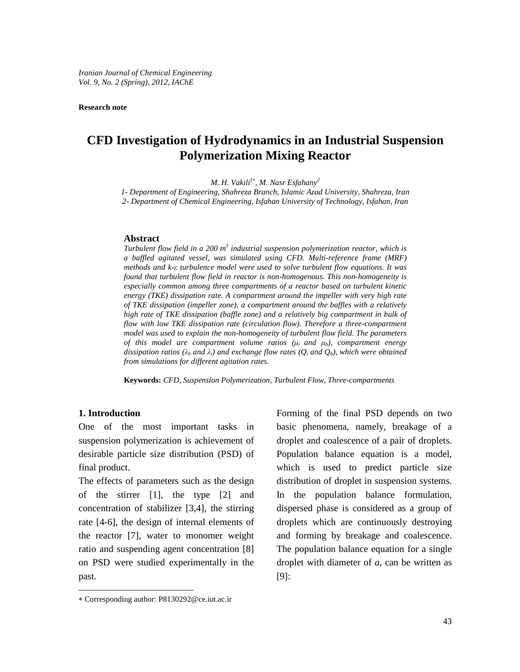#### **Research note**

# **CFD Investigation of Hydrodynamics in an Industrial Suspension Polymerization Mixing Reactor**

*M. H. Vakili<sup>1</sup> , M. Nasr Esfahany 2*

*1- Department of Engineering, Shahreza Branch, Islamic Azad University, Shahreza, Iran*

*2- Department of Chemical Engineering, Isfahan University of Technology, Isfahan, Iran*

#### **Abstract**

*Turbulent flow field in a 200 m 3 industrial suspension polymerization reactor, which is a baf led agitated vessel, was simulated using CFD. Multi-reference frame (MRF) Turbulent flow field in a 200 m<sup>3</sup> industrial suspension polymerization reactor, which is*<br>a baffled agitated vessel, was simulated using CFD. Multi-reference frame (MRF)<br>methods and k- $\varepsilon$  turbulence model were used to *found that turbulent flow field in reactor is non-homogenous. This non-homogeneity is especially common among three compartments of a reactor based on turbulent kinetic energy (TKE) dissipation rate. A compartment around the impeller with very high rate of TKE dissipation (impeller zone), a compartment around the baf les with a relatively high rate of TKE dissipation (baf le zone) and a relatively big compartment in bulk of* flow with low TKE dissipation rate (circulation flow). Therefore a three-compartment<br>model was used to explain the non-homogeneity of turbulent flow field. The parameters<br>of this model are compartment volume ratios ( $\mu_i$ *model was used to explain the non-homogeneity of turbulent flow field. The parameters* of this model are compartment volume ratios ( $\mu_i$  and  $\mu_b$ ), compartment energy dissipation ratios ( $\lambda_b$  and  $\lambda_i$ ) and exchange flow rates ( $Q_i$  and  $Q_b$ ), which were obtained *from simulations for dif erent agitation rates.*

**Keywords:** *CFD, Suspension Polymerization, Turbulent Flow, Three-compartments*

#### **1. Introduction**

One of the most important tasks in suspension polymerization is achievement of desirable particle size distribution (PSD) of final product.

past. The effects of parameters such as the design of the stirrer [1], the type [2] and concentration of stabilizer  $[3,4]$ , the stirring rate [4-6], the design of internal elements of the reactor [7], water to monomer weight ratio and suspending agent concentration [8] on PSD were studied experimentally in the

Forming of the final PSD depends on two basic phenomena, namely, breakage of a droplet and coalescence of a pair of droplets. Population balance equation is a model, which is used to predict particle size distribution of droplet in suspension systems. In the population balance formulation, dispersed phase is considered as a group of droplets which are continuously destroying and forming by breakage and coalescence. The population balance equation for a single droplet with diameter of *a*, can be written as [9]:

Corresponding author: [P8130292@ce.iut.ac.ir](mailto:P8130292@ce.iut.ac.ir)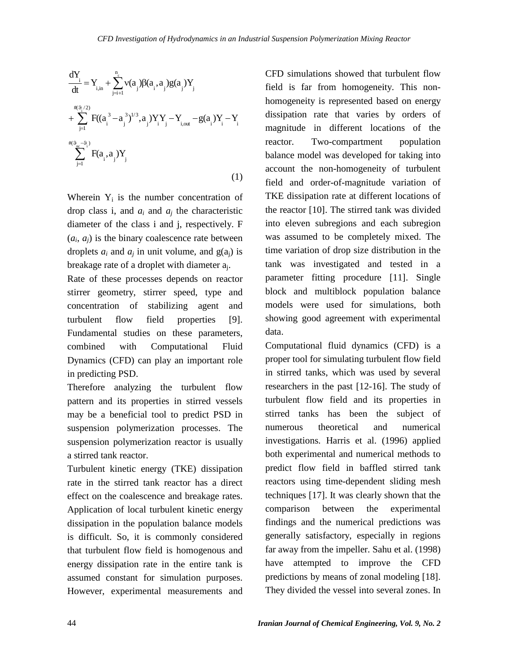$$
\frac{dY_i}{dt} = Y_{i,in} + \sum_{j=i+1}^{n_c} v(a_j) \beta(a_i, a_j) g(a_j) Y_j
$$
\n
$$
+ \sum_{j=1}^{n_c} F((a_i^3 - a_j^3)^{1/3}, a_j) Y_i Y_j - Y_{i,out} - g(a_i) Y_i - Y_j
$$
\n
$$
+ \sum_{j=1}^{n_c} F(a_i, a_j) Y_j
$$
\n
$$
= \sum_{j=1}^{n_c} F(a_i, a_j) Y_j
$$
\n
$$
= \sum_{j=1}^{n_c} F(a_i, a_j) Y_j
$$
\n
$$
= \sum_{j=1}^{n_c} F(a_i, a_j) Y_j
$$
\n
$$
= \sum_{j=1}^{n_c} F(a_i, a_j) Y_j
$$
\n
$$
= \sum_{j=1}^{n_c} F(a_i, a_j) Y_j
$$
\n
$$
= \sum_{j=1}^{n_c} F(a_i, a_j) Y_j
$$
\n
$$
= \sum_{j=1}^{n_c} F(a_i, a_j) Y_j
$$
\n
$$
= \sum_{j=1}^{n_c} F(a_j, a_j) Y_j
$$
\n
$$
= \sum_{j=1}^{n_c} F(a_j, a_j) Y_j
$$
\n
$$
= \sum_{j=1}^{n_c} F(a_j, a_j) Y_j
$$
\n
$$
= \sum_{j=1}^{n_c} F(a_j, a_j) Y_j
$$
\n
$$
= \sum_{j=1}^{n_c} F(a_j, a_j) Y_j
$$
\n
$$
= \sum_{j=1}^{n_c} F(a_j, a_j) Y_j
$$
\n
$$
= \sum_{j=1}^{n_c} F(a_j, a_j) Y_j
$$
\n
$$
= \sum_{j=1}^{n_c} F(a_j, a_j) Y_j
$$
\n
$$
= \sum_{j=1}^{n_c} F(a_j, a_j) Y_j
$$
\n
$$
= \sum_{j=1}^{n_c} F(a_j, a_j) Y_j
$$
\n
$$
= \sum_{j=1}^{n_c} F(a_j, a_j) Y_j
$$
\n
$$
= \sum_{j=1}^{n_c} F(a_j, a_j) Y_j
$$
\n
$$
= \sum_{j=1}^{n_c} F(a_j, a_j) Y_j
$$

Wherein  $Y_i$  is the number concentration of drop class i, and  $a_i$  and  $a_j$  the characteristic diameter of the class i and j, respectively. F  $(a_i, a_j)$  is the binary coalescence rate between droplets  $a_i$  and  $a_j$  in unit volume, and  $g(a_i)$  is breakage rate of a droplet with diameter aj.

Rate of these processes depends on reactor stirrer geometry, stirrer speed, type and concentration of stabilizing agent and turbulent flow field properties [9]. Fundamental studies on these parameters, combined with Computational Fluid Dynamics (CFD) can play an important role in predicting PSD.

Therefore analyzing the turbulent flow pattern and its properties in stirred vessels may be a beneficial tool to predict PSD in suspension polymerization processes. The numerous suspension polymerization reactor is usually a stirred tank reactor.

Turbulent kinetic energy (TKE) dissipation rate in the stirred tank reactor has a direct effect on the coalescence and breakage rates. Application of local turbulent kinetic energy comparison dissipation in the population balance models is difficult. So, it is commonly considered that turbulent flow field is homogenous and energy dissipation rate in the entire tank is assumed constant for simulation purposes. However, experimental measurements and

CFD simulations showed that turbulent flow field is far from homogeneity. This non homogeneity is represented based on energy dissipation rate that varies by orders of magnitude in different locations of the reactor. Two-compartment population balance model was developed for taking into account the non-homogeneity of turbulent field and order-of-magnitude variation of TKE dissipation rate at different locations of the reactor [10]. The stirred tank was divided into eleven subregions and each subregion was assumed to be completely mixed. The time variation of drop size distribution in the tank was investigated and tested in a parameter fitting procedure [11]. Single block and multiblock population balance models were used for simulations, both showing good agreement with experimental data.

Computational fluid dynamics (CFD) is a proper tool for simulating turbulent flow field in stirred tanks, which was used by several researchers in the past [12-16]. The study of turbulent flow field and its properties in stirred tanks has been the subject of theoretical and numerical investigations. Harris et al. (1996) applied both experimental and numerical methods to predict flow field in baffled stirred tank reactors using time-dependent sliding mesh techniques [17]. It was clearly shown that the between the experimental findings and the numerical predictions was generally satisfactory, especially in regions far away from the impeller. Sahu et al. (1998) have attempted to improve the CFD predictions by means of zonal modeling [18]. They divided the vessel into several zones. In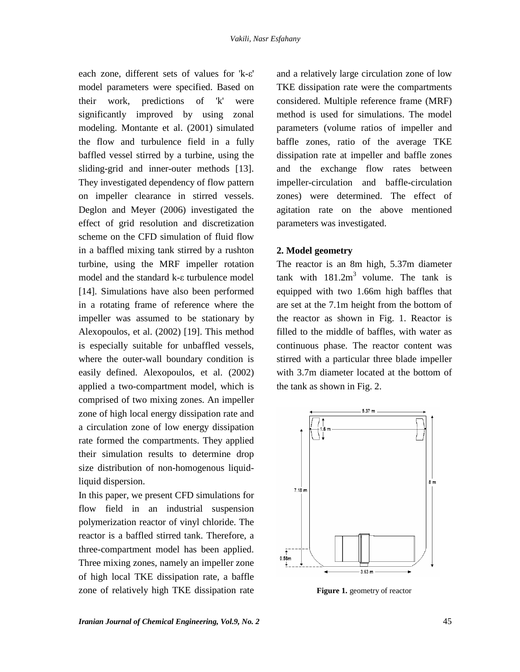each zone, different sets of values for  $k-\epsilon$ ' model parameters were specified. Based on their work, predictions of 'k' were significantly improved by using zonal modeling. Montante et al. (2001) simulated the flow and turbulence field in a fully baffled vessel stirred by a turbine, using the sliding-grid and inner-outer methods [13]. They investigated dependency of flow pattern on impeller clearance in stirred vessels. Deglon and Meyer (2006) investigated the effect of grid resolution and discretization scheme on the CFD simulation of fluid flow in a baffled mixing tank stirred by a rushton turbine, using the MRF impeller rotation in a barried mixing tank stirred by a rushton<br>turbine, using the MRF impeller rotation<br>model and the standard k- $\epsilon$  turbulence model [14]. Simulations have also been performed in a rotating frame of reference where the impeller was assumed to be stationary by Alexopoulos, et al. (2002) [19]. This method is especially suitable for unbaffled vessels, where the outer-wall boundary condition is easily defined. Alexopoulos, et al. (2002) applied a two-compartment model, which is comprised of two mixing zones. An impeller zone of high local energy dissipation rate and a circulation zone of low energy dissipation rate formed the compartments. They applied their simulation results to determine drop size distribution of non-homogenous liquidliquid dispersion.

In this paper, we present CFD simulations for flow field in an industrial suspension polymerization reactor of vinyl chloride. The reactor is a baffled stirred tank. Therefore, a three-compartment model has been applied. Three mixing zones, namely an impeller zone  $\frac{1}{2}$ of high local TKE dissipation rate, a baffle zone of relatively high TKE dissipation rate

and a relatively large circulation zone of low TKE dissipation rate were the compartments considered. Multiple reference frame (MRF) method is used for simulations. The model parameters (volume ratios of impeller and baffle zones, ratio of the average TKE dissipation rate at impeller and baffle zones and the exchange flow rates between impeller-circulation and baffle-circulation zones) were determined. The effect of agitation rate on the above mentioned parameters was investigated.

#### **2. Model geometry**

The reactor is an 8m high, 5.37m diameter tank with  $181.2m<sup>3</sup>$  volume. The tank is equipped with two 1.66m high baffles that are set at the 7.1m height from the bottom of the reactor as shown in Fig. 1. Reactor is filled to the middle of baffles, with water as continuous phase. The reactor content was stirred with a particular three blade impeller with 3.7m diameter located at the bottom of the tank as shown in Fig.2.



**Figure 1.** geometry of reactor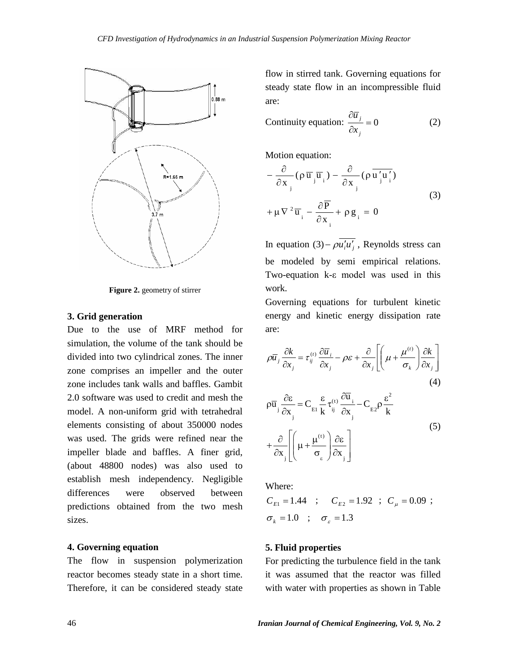

**Figure 2.** geometry of stirrer

#### **3. Grid generation**

Due to the use of MRF method for simulation, the volume of the tank should be divided into two cylindrical zones. The inner zone comprises an impeller and the outer zone includes tank walls and baffles. Gambit 2.0 software was used to credit and mesh the model. A non-uniform grid with tetrahedral elements consisting of about 350000 nodes was used. The grids were refined near the impeller blade and baffles. A finer grid, (about 48800 nodes) was also used to establish mesh independency. Negligible differences were observed between predictions obtained from the two mesh sizes.

## **4. Governing equation**

The flow in suspension polymerization reactor becomes steady state in a short time. Therefore, it can be considered steady state

flow in stirred tank. Governing equations for steady state flow in an incompressible fluid are: 

$$
\text{Continuity equation: } \frac{\partial \overline{u}_j}{\partial x_j} = 0 \tag{2}
$$

Motion equation:

Motion equation:  
\n
$$
-\frac{\partial}{\partial x_{j}}(\rho \overline{u}_{j} \overline{u}_{i}) - \frac{\partial}{\partial x_{j}}(\rho \overline{u}_{j}^{\prime} u_{i}^{\prime})
$$
\n
$$
+\mu \nabla^{2} \overline{u}_{i} - \frac{\partial \overline{P}}{\partial x_{i}} + \rho g_{i} = 0
$$
\n(3)

In equation  $(3) - \rho \overline{u'_i u'_j}$ , Reynolds stress can be modeled by semi empirical relations.  $T_{\text{two-equation}}$  (b)  $\mu_i \mu_j$ , responses seeds can<br>be modeled by semi-empirical relations.<br>Two-equation k- $\varepsilon$  model was used in this work.

Governing equations for turbulent kinetic energy and kinetic energy dissipation rate are:

$$
\rho \overline{u}_j \frac{\partial k}{\partial x_j} = \tau_{ij}^{(t)} \frac{\partial \overline{u}_i}{\partial x_j} - \rho \varepsilon + \frac{\partial}{\partial x_j} \left[ \left( \mu + \frac{\mu^{(t)}}{\sigma_k} \right) \frac{\partial k}{\partial x_j} \right]
$$
\n
$$
\frac{\partial \varepsilon}{\partial x_j} = \varepsilon_{ij} \frac{\partial \overline{u}_j}{\partial x_j} - \rho \varepsilon_{ij} \frac{\partial \overline{u}_j}{\partial x_j} - \varepsilon_{ij} \frac{\partial \overline{u}_j}{\partial x_j} - \varepsilon_{ij} \frac{\partial \overline{u}_j}{\partial x_j} - \varepsilon_{ij} \frac{\partial \overline{u}_j}{\partial x_j} - \varepsilon_{ij} \frac{\partial \overline{u}_j}{\partial x_j} - \varepsilon_{ij} \frac{\partial \overline{u}_j}{\partial x_j} - \varepsilon_{ij} \frac{\partial \overline{u}_j}{\partial x_j} - \varepsilon_{ij} \frac{\partial \overline{u}_j}{\partial x_j} - \varepsilon_{ij} \frac{\partial \overline{u}_j}{\partial x_j} - \varepsilon_{ij} \frac{\partial \overline{u}_j}{\partial x_j} - \varepsilon_{ij} \frac{\partial \overline{u}_j}{\partial x_j} - \varepsilon_{ij} \frac{\partial \overline{u}_j}{\partial x_j} - \varepsilon_{ij} \frac{\partial \overline{u}_j}{\partial x_j} - \varepsilon_{ij} \frac{\partial \overline{u}_j}{\partial x_j} - \varepsilon_{ij} \frac{\partial \overline{u}_j}{\partial x_j} - \varepsilon_{ij} \frac{\partial \overline{u}_j}{\partial x_j} - \varepsilon_{ij} \frac{\partial \overline{u}_j}{\partial x_j} - \varepsilon_{ij} \frac{\partial \overline{u}_j}{\partial x_j} - \varepsilon_{ij} \frac{\partial \overline{u}_j}{\partial x_j} - \varepsilon_{ij} \frac{\partial \overline{u}_j}{\partial x_j} - \varepsilon_{ij} \frac{\partial \overline{u}_j}{\partial x_j} - \varepsilon_{ij} \frac{\partial \overline{u}_j}{\partial x_j} - \varepsilon_{ij} \frac{\partial \overline{u}_j}{\partial x_j} - \varepsilon_{ij} \frac{\partial \overline{u}_j}{\partial x_j} - \varepsilon_{ij}
$$

(4)  
\n
$$
\rho \overline{u}_{j} \frac{\partial \varepsilon}{\partial x_{j}} = C_{EI} \frac{\varepsilon}{k} \tau_{ij}^{(t)} \frac{\partial \overline{u}_{j}}{\partial x_{j}} - C_{E2} \rho \frac{\varepsilon^{2}}{k}
$$
\n
$$
+ \frac{\partial}{\partial x_{j}} \left[ \left( \mu + \frac{\mu^{(t)}}{\sigma_{\varepsilon}} \right) \frac{\partial \varepsilon}{\partial x_{j}} \right]
$$
\n(5)

Where:

Where:  
\n
$$
C_{E1} = 1.44
$$
 ;  $C_{E2} = 1.92$  ;  $C_{\mu} = 0.09$  ;  
\n $\sigma_k = 1.0$  ;  $\sigma_{\varepsilon} = 1.3$ 

## **5. Fluid properties**

For predicting the turbulence field in the tank it was assumed that the reactor was filled with water with properties as shown in Table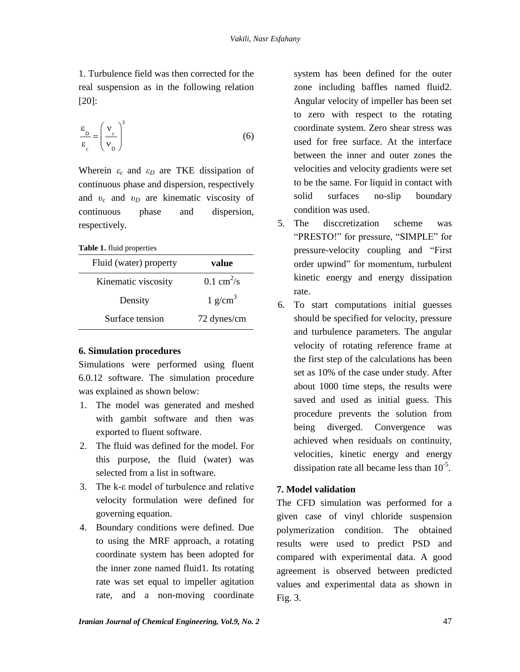1. Turbulence field was then corrected for the real suspension as in the following relation [20]:

[20]:  
\n
$$
\frac{\varepsilon_{\rm D}}{\varepsilon_{\rm c}} = \left(\frac{v_{\rm c}}{v_{\rm D}}\right)^3
$$
\n(6)

Wherein  $\varepsilon_c$  and  $\varepsilon_D$  are TKE dissipation of continuous phase and dispersion, respectively and  $v_c$  and  $v_D$  are kinematic viscosity of continuous phase and dispersion, respectively.

#### **Table 1.** fluid properties

|                        |                             |   | μ             |
|------------------------|-----------------------------|---|---------------|
| Fluid (water) property | value                       |   | <sup>O1</sup> |
| Kinematic viscosity    | $0.1 \text{ cm}^2/\text{s}$ |   | ki            |
| Density                | $1$ g/cm <sup>3</sup>       | 6 | ra<br>Ъ       |
| Surface tension        | 72 dynes/cm                 |   | sŀ            |

## **6. Simulation procedures**

Simulations were performed using fluent 6.0.12 software. The simulation procedure was explained as shown below:

- 1. The model was generated and meshed with gambit software and then was exported to fluent software.
- 2. The fluid was defined for the model. For this purpose, the fluid (water) was selected from a list in software.
- 3. The  $k$ - $\varepsilon$  model of turbulence and relative velocity formulation were defined for governing equation.
- 4. Boundary conditions were defined. Due to using the MRF approach, a rotating coordinate system has been adopted for the inner zone named fluid1. Its rotating rate was set equal to impeller agitation rate, and a non-moving coordinate

system has been defined for the outer zone including baffles named fluid2. Angular velocity of impeller has been set to zero with respect to the rotating coordinate system. Zero shear stress was used for free surface. At the interface between the inner and outer zones the velocities and velocity gradients were set to be the same. For liquid in contact with solid surfaces no-slip boundary condition was used.

- 5. The discoretization scheme was s used.<br>retization scheme was<br>for pressure. "SIMPLE" for The discoretization scheme was<br>
"PRESTO!" for pressure, "SIMPLE" for<br>
pressure-velocity coupling and "First pressure-velocity coupling and "First<br>order upwind" for momentum, turbulent kinetic energy and energy dissipation rate.
- 6. To start computations initial guesses should be specified for velocity, pressure and turbulence parameters. The angular velocity of rotating reference frame at the first step of the calculations has been set as 10% of the case under study. After about 1000 time steps, the results were saved and used as initial guess. This procedure prevents the solution from being diverged. Convergence was achieved when residuals on continuity, velocities, kinetic energy and energy dissipation rate all became less than  $10^{-5}$ .

# **7. Model validation**

The CFD simulation was performed for a given case of vinyl chloride suspension polymerization condition. The obtained results were used to predict PSD and compared with experimental data. A good agreement is observed between predicted values and experimental data as shown in Fig. 3.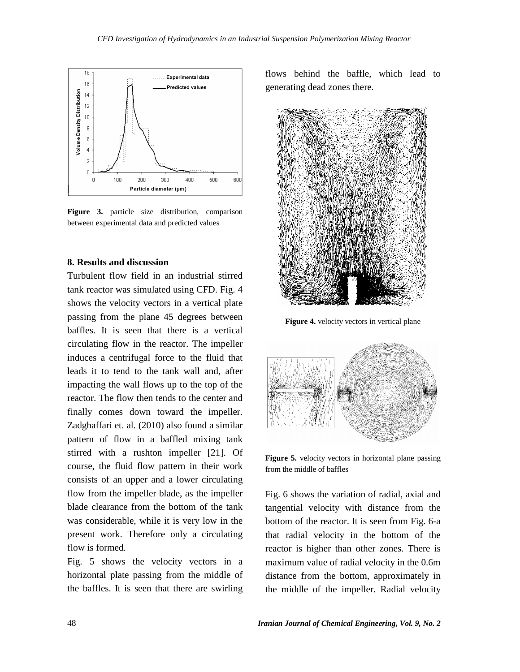

**Figure 3.** particle size distribution, comparison between experimental data and predicted values

#### **8. Results and discussion**

Turbulent flow field in an industrial stirred tank reactor was simulated using CFD. Fig. 4 shows the velocity vectors in a vertical plate passing from the plane 45 degrees between baffles. It is seen that there is a vertical circulating flow in the reactor. The impeller induces a centrifugal force to the fluid that leads it to tend to the tank wall and, after impacting the wall flows up to the top of the reactor. The flow then tends to the center and finally comes down toward the impeller. Zadghaffari et. al. (2010) also found a similar pattern of flow in a baffled mixing tank stirred with a rushton impeller [21]. Of course, the fluid flow pattern in their work consists of an upper and a lower circulating flow from the impeller blade, as the impeller blade clearance from the bottom of the tank was considerable, while it is very low in the present work. Therefore only a circulating flow is formed.

Fig. 5 shows the velocity vectors in a horizontal plate passing from the middle of the baffles. It is seen that there are swirling flows behind the baffle, which lead to generating dead zones there.



**Figure 4.** velocity vectors in vertical plane



**Figure 5.** velocity vectors in horizontal plane passing from the middle of baffles

Fig. 6 shows the variation of radial, axial and tangential velocity with distance from the bottom of the reactor. It is seen from Fig. 6-a that radial velocity in the bottom of the reactor is higher than other zones. There is maximum value of radial velocity in the 0.6m distance from the bottom, approximately in the middle of the impeller. Radial velocity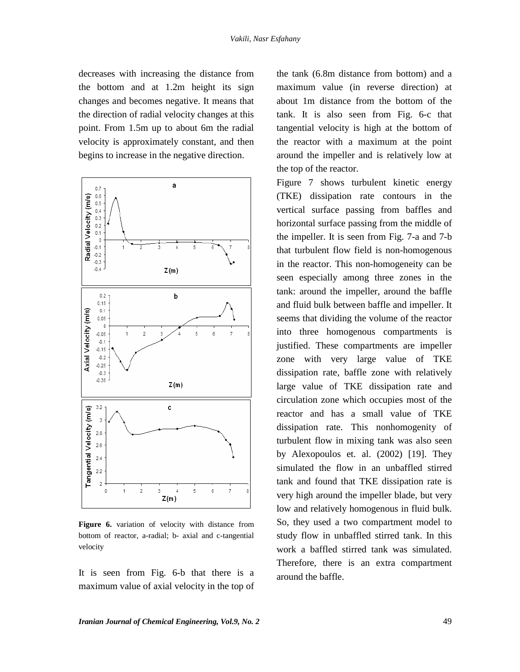decreases with increasing the distance from the bottom and at 1.2m height its sign changes and becomes negative. It means that the direction of radial velocity changes at this point. From 1.5m up to about 6m the radial velocity is approximately constant, and then begins to increase in the negative direction.



**Figure 6.** variation of velocity with distance from bottom of reactor, a-radial; b- axial and c-tangential velocity

It is seen from Fig. 6-b that there is a maximum value of axial velocity in the top of the tank (6.8m distance from bottom) and a maximum value (in reverse direction) at about 1m distance from the bottom of the tank. It is also seen from Fig. 6-c that tangential velocity is high at the bottom of the reactor with a maximum at the point around the impeller and is relatively low at the top of the reactor.

Figure 7 shows turbulent kinetic energy (TKE) dissipation rate contours in the vertical surface passing from baffles and horizontal surface passing from the middle of the impeller. It is seen from Fig. 7-a and 7-b that turbulent flow field is non-homogenous in the reactor. This non-homogeneity can be seen especially among three zones in the tank: around the impeller, around the baffle and fluid bulk between baffle and impeller. It seems that dividing the volume of the reactor into three homogenous compartments is justified. These compartments are impeller zone with very large value of TKE dissipation rate, baffle zone with relatively large value of TKE dissipation rate and circulation zone which occupies most of the reactor and has a small value of TKE dissipation rate. This nonhomogenity of turbulent flow in mixing tank was also seen by Alexopoulos et. al. (2002) [19]. They simulated the flow in an unbaffled stirred tank and found that TKE dissipation rate is very high around the impeller blade, but very low and relatively homogenous in fluid bulk. So, they used a two compartment model to study flow in unbaffled stirred tank. In this work a baffled stirred tank was simulated. Therefore, there is an extra compartment around the baffle.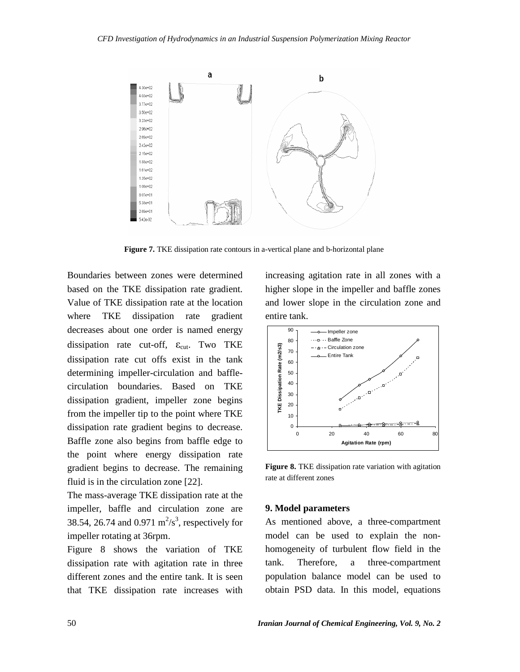

**Figure 7.** TKE dissipation rate contours in a-vertical plane and b-horizontal plane

Boundaries between zones were determined based on the TKE dissipation rate gradient. Value of TKE dissipation rate at the location where TKE dissipation rate gradient decreases about one order is named energy dissipation rate cut-off,  $\varepsilon_{\text{cut}}$ . Two TKE dissipation rate cut offs exist in the tank determining impeller-circulation and baffle circulation boundaries. Based on TKE dissipation gradient, impeller zone begins from the impeller tip to the point where TKE dissipation rate gradient begins to decrease. Baffle zone also begins from baffle edge to the point where energy dissipation rate gradient begins to decrease. The remaining fluid is in the circulation zone [22].

The mass-average TKE dissipation rate at the impeller, baffle and circulation zone are 38.54, 26.74 and  $0.971 \text{ m}^2/\text{s}^3$ , respectively for impeller rotating at 36rpm.

Figure 8 shows the variation of TKE dissipation rate with agitation rate in three tank. different zones and the entire tank. It is seen that TKE dissipation rate increases with

increasing agitation rate in all zones with a higher slope in the impeller and baffle zones and lower slope in the circulation zone and entire tank.



**Figure 8.** TKE dissipation rate variation with agitation rate at different zones

#### **9. Model parameters**

As mentioned above, a three-compartment model can be used to explain the non homogeneity of turbulent flow field in the Therefore, a three-compartment population balance model can be used to obtain PSD data. In this model, equations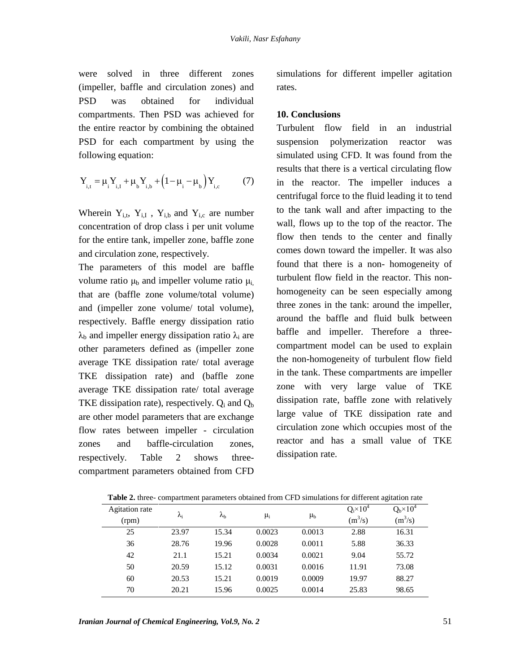were solved in three different zones (impeller, baffle and circulation zones) and PSD was obtained for individual compartments. Then PSD was achieved for the entire reactor by combining the obtained PSD for each compartment by using the suspension following equation:

following equation:  
\n
$$
Y_{i,t} = \mu_i Y_{i,t} + \mu_b Y_{i,b} + (1 - \mu_i - \mu_b) Y_{i,c}
$$
\n(7)

Wherein  $Y_{i,t}$ ,  $Y_{i,I}$ ,  $Y_{i,b}$  and  $Y_{i,c}$  are number concentration of drop class i per unit volume for the entire tank, impeller zone, baffle zone and circulation zone, respectively.

The parameters of this model are baffle volume ratio  $\mu_b$  and impeller volume ratio  $\mu_i$ that are (baffle zone volume/total volume) and (impeller zone volume/ total volume), respectively. Baffle energy dissipation ratio  $\lambda_b$  and impeller energy dissipation ratio  $\lambda_i$  are other parameters defined as (impeller zone average TKE dissipation rate/ total average TKE dissipation rate) and (baffle zone average TKE dissipation rate/ total average TKE dissipation rate), respectively.  $Q_i$  and  $Q_b$ are other model parameters that are exchange flow rates between impeller - circulation zones and baffle-circulation zones, respectively. Table 2 shows three compartment parameters obtained from CFD

simulations for different impeller agitation rates.

## **10. Conclusions**

Turbulent flow field in an industrial polymerization reactor was simulated using CFD. It was found from the results that there is a vertical circulating flow in the reactor. The impeller induces a centrifugal force to the fluid leading it to tend to the tank wall and after impacting to the wall, flows up to the top of the reactor. The flow then tends to the center and finally comes down toward the impeller. It was also found that there is a non- homogeneity of turbulent flow field in the reactor. This non homogeneity can be seen especially among three zones in the tank: around the impeller, around the baffle and fluid bulk between baffle and impeller. Therefore a three compartment model can be used to explain the non-homogeneity of turbulent flow field in the tank. These compartments are impeller zone with very large value of TKE dissipation rate, baffle zone with relatively large value of TKE dissipation rate and circulation zone which occupies most of the reactor and has a small value of TKE dissipation rate.

| Agitation rate | $\lambda_i$ | $\lambda_{\textrm{\tiny h}}$ | $\mu_i$ | $\mu_{b}$ | $Q_i \times 10^4$<br>$(m^3/s)$ | $Qb \times 104$<br>$(m^3/s)$ |
|----------------|-------------|------------------------------|---------|-----------|--------------------------------|------------------------------|
| (rpm)          |             |                              |         |           |                                |                              |
| 25             | 23.97       | 15.34                        | 0.0023  | 0.0013    | 2.88                           | 16.31                        |
| 36             | 28.76       | 19.96                        | 0.0028  | 0.0011    | 5.88                           | 36.33                        |
| 42             | 21.1        | 15.21                        | 0.0034  | 0.0021    | 9.04                           | 55.72                        |
| 50             | 20.59       | 15.12                        | 0.0031  | 0.0016    | 11.91                          | 73.08                        |
| 60             | 20.53       | 15.21                        | 0.0019  | 0.0009    | 19.97                          | 88.27                        |
| 70             | 20.21       | 15.96                        | 0.0025  | 0.0014    | 25.83                          | 98.65                        |
|                |             |                              |         |           |                                |                              |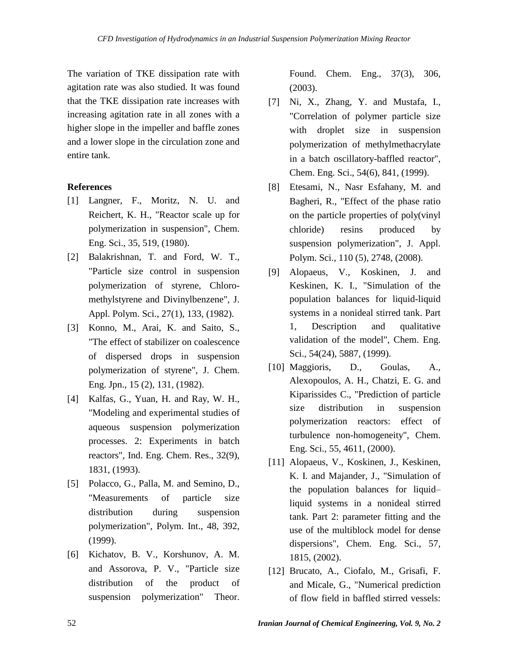The variation of TKE dissipation rate with agitation rate was also studied. It was found that the TKE dissipation rate increases with increasing agitation rate in all zones with a higher slope in the impeller and baffle zones and a lower slope in the circulation zone and entire tank.

## **References**

- [1] Langner, F., Moritz, N. U. and Reichert, K. H., "Reactor scale up for polymerization in suspension", Chem. Eng. Sci., 35, 519, (1980).
- [2] Balakrishnan, T. and Ford, W. T., "Particle size control in suspension polymerization of styrene, Chloro methylstyrene and Divinylbenzene", J. Appl. Polym. Sci., 27(1), 133, (1982).
- [3] Konno, M., Arai, K. and Saito, S., "The effect of stabilizer on coalescence of dispersed drops in suspension polymerization of styrene", J. Chem. Eng. Jpn., 15 (2), 131, (1982).
- [4] Kalfas, G., Yuan, H. and Ray, W. H., "Modeling and experimental studies of aqueous suspension polymerization processes. 2: Experiments in batch reactors", Ind. Eng. Chem. Res., 32(9), 1831, (1993).
- [5] Polacco, G., Palla, M. and Semino, D., "Measurements of particle size distribution during suspension polymerization", Polym. Int., 48, 392, (1999).
- [6] Kichatov, B. V., Korshunov, A. M. and Assorova, P. V., "Particle size distribution of the product of suspension polymerization" Theor.

Found. Chem. Eng., 37(3), 306, (2003).

- [7] Ni, X., Zhang, Y. and Mustafa, I., "Correlation of polymer particle size with droplet size in suspension polymerization of methylmethacrylate in a batch oscillatory-baffled reactor", Chem. Eng. Sci., 54(6), 841, (1999).
- [8] Etesami, N., Nasr Esfahany, M. and Bagheri, R., "Effect of the phase ratio on the particle properties of poly(vinyl chloride) resins produced by suspension polymerization", J. Appl. Polym. Sci., 110 (5), 2748, (2008).
- [9] Alopaeus, V., Koskinen, J. and Keskinen, K. I., "Simulation of the population balances for liquid-liquid systems in a nonideal stirred tank. Part 1, Description and qualitative validation of the model", Chem. Eng. Sci., 54(24), 5887, (1999).
- [10] Maggioris, D., Goulas, A., Alexopoulos, A. H., Chatzi, E. G. and Kiparissides C., "Prediction of particle size distribution in suspension polymerization reactors: effect of turbulence non-homogeneity", Chem. Eng. Sci., 55, 4611, (2000).
- [11] Alopaeus, V., Koskinen, J., Keskinen, K. I. and Majander, J., "Simulation of Alopaeus, V., Koskinen, J., Keskinen,<br>K. I. and Majander, J., "Simulation of<br>the population balances for liquid– liquid systems in a nonideal stirred tank. Part 2: parameter fitting and the use of the multiblock model for dense dispersions", Chem. Eng. Sci., 57, 1815, (2002).
- [12] Brucato, A., Ciofalo, M., Grisafi, F. and Micale, G., "Numerical prediction of flow field in baffled stirred vessels: